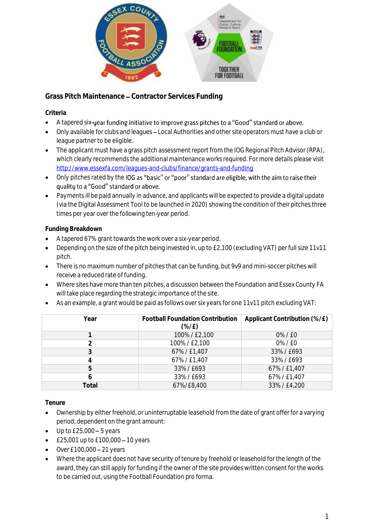

**Grass Pitch Maintenance Contractor Services Funding**

# **Criteria**

- A tapered six-year funding initiative to improve grass pitches to a "Good" standard or above.
- Only available for clubs and leagues Local Authorities and other site operators must have a club or league partner to be eligible.
- The applicant must have a grass pitch assessment report from the IOG Regional Pitch Advisor (RPA), which clearly recommends the additional maintenance works required. For more details please visit <http://www.essexfa.com/leagues-and-clubs/finance/grants-and-funding>
- Only pitches rated by the IOG as "basic" or "poor" standard are eligible, with the aim to raise their quality to a "Good" standard or above.
- Payments ill be paid annually in advance, and applicants will be expected to provide a digital update (via the Digital Assessment Tool to be launched in 2020) showing the condition of their pitches three times per year over the following ten-year period.

# **Funding Breakdown**

- A tapered 67% grant towards the work over a six-year period.
- Depending on the size of the pitch being invested in, up to £2,100 (excluding VAT) per full size 11v11 pitch.
- There is no maximum number of pitches that can be funding, but 9v9 and mini-soccer pitches will receive a reduced rate of funding.
- Where sites have more than ten pitches, a discussion between the Foundation and Essex County FA will take place regarding the strategic importance of the site.
- As an example, a grant would be paid as follows over six years for one 11v11 pitch excluding VAT:

| Year  | <b>Football Foundation Contribution</b><br>$(\frac{\%}{E})$ | Applicant Contribution (%/£) |
|-------|-------------------------------------------------------------|------------------------------|
|       | 100%/£2,100                                                 | 0%/E0                        |
|       | 100%/£2,100                                                 | 0%/E0                        |
| 3     | 67%/£1,407                                                  | 33%/E693                     |
| 4     | 67%/£1,407                                                  | 33%/E693                     |
| 5     | 33%/£693                                                    | 67%/£1,407                   |
| 6     | 33%/E693                                                    | 67%/£1,407                   |
| Total | 67%/£8,400                                                  | 33%/£4,200                   |

**Tenure**

- Ownership by either freehold, or uninterruptable leasehold from the date of grant offer for a varying period, dependent on the grant amount:
- $\bullet$  Up to £25,000 5 years
- $£25,001$  up to  $£100,000 10$  years
- $\bullet$  Over £100,000 21 years
- Where the applicant does not have security of tenure by freehold or leasehold for the length of the award, they can still apply for funding if the owner of the site provides written consent for the works to be carried out, using the Football Foundation pro forma.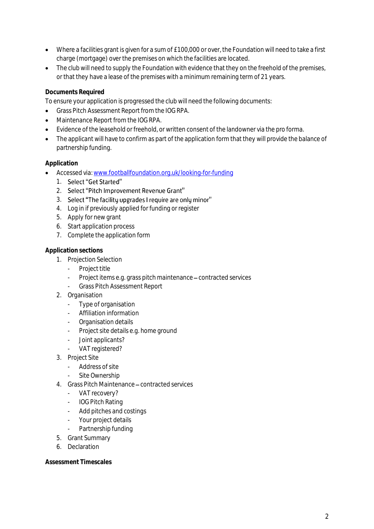- Where a facilities grant is given for a sum of £100,000 or over, the Foundation will need to take a first charge (mortgage) over the premises on which the facilities are located.
- The club will need to supply the Foundation with evidence that they on the freehold of the premises, or that they have a lease of the premises with a minimum remaining term of 21 years.

## **Documents Required**

To ensure your application is progressed the club will need the following documents:

- Grass Pitch Assessment Report from the IOG RPA.
- Maintenance Report from the IOG RPA.
- Evidence of the leasehold or freehold, or written consent of the landowner via the pro forma.
- The applicant will have to confirm as part of the application form that they will provide the balance of partnership funding.

### **Application**

- Accessed via[: www.footballfoundation.org.uk/looking-for-funding](http://www.footballfoundation.org.uk/looking-for-funding)
	- 1. Select "Get Started"
	- 2. Select "Pitch Improvement Revenue Grant"
	- 3. Select "The facility upgrades I require are only minor"
	- 4. Log in if previously applied for funding or register
	- 5. Apply for new grant
	- 6. Start application process
	- 7. Complete the application form

#### **Application sections**

- 1. Projection Selection
	- Project title
	- Project items e.g. grass pitch maintenance contracted services
	- Grass Pitch Assessment Report
- 2. Organisation
	- Type of organisation
	- Affiliation information
	- Organisation details
	- Project site details e.g. home ground
	- Joint applicants?
	- VAT registered?
- 3. Project Site
	- Address of site
	- Site Ownership
- 4. Grass Pitch Maintenance contracted services
	- VAT recovery?
	- IOG Pitch Rating
	- Add pitches and costings
	- Your project details
	- Partnership funding
- 5. Grant Summary
- 6. Declaration

**Assessment Timescales**